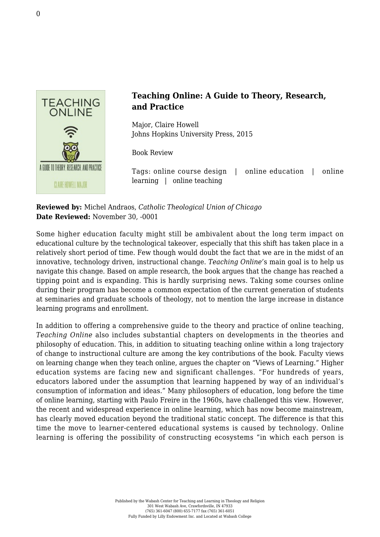

## **Teaching Online: A Guide to Theory, Research, and Practice**

Major, Claire Howell [Johns Hopkins University Press, 2015](https://jhupbooks.press.jhu.edu/content/teaching-online)

Book Review

Tags: online course design | online education | online learning | online teaching

**Reviewed by:** Michel Andraos, *Catholic Theological Union of Chicago* **Date Reviewed:** November 30, -0001

Some higher education faculty might still be ambivalent about the long term impact on educational culture by the technological takeover, especially that this shift has taken place in a relatively short period of time. Few though would doubt the fact that we are in the midst of an innovative, technology driven, instructional change. *Teaching Online'*s main goal is to help us navigate this change. Based on ample research, the book argues that the change has reached a tipping point and is expanding. This is hardly surprising news. Taking some courses online during their program has become a common expectation of the current generation of students at seminaries and graduate schools of theology, not to mention the large increase in distance learning programs and enrollment.

In addition to offering a comprehensive guide to the theory and practice of online teaching, *Teaching Online* also includes substantial chapters on developments in the theories and philosophy of education. This, in addition to situating teaching online within a long trajectory of change to instructional culture are among the key contributions of the book. Faculty views on learning change when they teach online, argues the chapter on "Views of Learning." Higher education systems are facing new and significant challenges. "For hundreds of years, educators labored under the assumption that learning happened by way of an individual's consumption of information and ideas." Many philosophers of education, long before the time of online learning, starting with Paulo Freire in the 1960s, have challenged this view. However, the recent and widespread experience in online learning, which has now become mainstream, has clearly moved education beyond the traditional static concept. The difference is that this time the move to learner-centered educational systems is caused by technology. Online learning is offering the possibility of constructing ecosystems "in which each person is